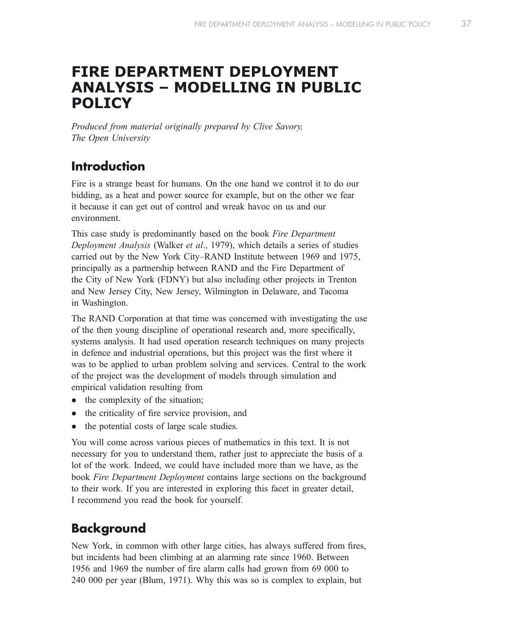# FIRE DEPARTMENT DEPLOYMENT ANALYSIS – MODELLING IN PUBLIC POLICY

Produced from material originally prepared by Clive Savory, The Open University

# Introduction

Fire is a strange beast for humans. On the one hand we control it to do our bidding, as a heat and power source for example, but on the other we fear it because it can get out of control and wreak havoc on us and our environment.

This case study is predominantly based on the book Fire Department Deployment Analysis (Walker et al., 1979), which details a series of studies carried out by the New York City–RAND Institute between 1969 and 1975, principally as a partnership between RAND and the Fire Department of the City of New York (FDNY) but also including other projects in Trenton and New Jersey City, New Jersey, Wilmington in Delaware, and Tacoma in Washington.

The RAND Corporation at that time was concerned with investigating the use of the then young discipline of operational research and, more specifically, systems analysis. It had used operation research techniques on many projects in defence and industrial operations, but this project was the first where it was to be applied to urban problem solving and services. Central to the work of the project was the development of models through simulation and empirical validation resulting from

- $\bullet$  the complexity of the situation;
- $\bullet$  the criticality of fire service provision, and
- the potential costs of large scale studies.

You will come across various pieces of mathematics in this text. It is not necessary for you to understand them, rather just to appreciate the basis of a lot of the work. Indeed, we could have included more than we have, as the book Fire Department Deployment contains large sections on the background to their work. If you are interested in exploring this facet in greater detail, I recommend you read the book for yourself.

# **Background**

New York, in common with other large cities, has always suffered from fires, but incidents had been climbing at an alarming rate since 1960. Between 1956 and 1969 the number of fire alarm calls had grown from 69 000 to 240 000 per year (Blum, 1971). Why this was so is complex to explain, but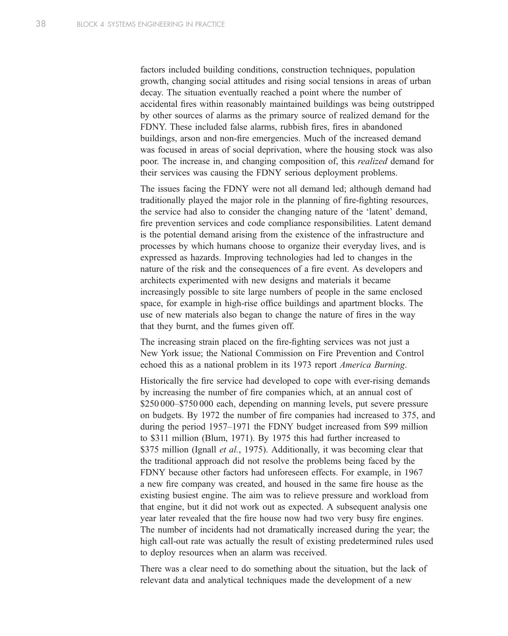factors included building conditions, construction techniques, population growth, changing social attitudes and rising social tensions in areas of urban decay. The situation eventually reached a point where the number of accidental fires within reasonably maintained buildings was being outstripped by other sources of alarms as the primary source of realized demand for the FDNY. These included false alarms, rubbish fires, fires in abandoned buildings, arson and non-fire emergencies. Much of the increased demand was focused in areas of social deprivation, where the housing stock was also poor. The increase in, and changing composition of, this realized demand for their services was causing the FDNY serious deployment problems.

The issues facing the FDNY were not all demand led; although demand had traditionally played the major role in the planning of fire-fighting resources, the service had also to consider the changing nature of the 'latent' demand, fire prevention services and code compliance responsibilities. Latent demand is the potential demand arising from the existence of the infrastructure and processes by which humans choose to organize their everyday lives, and is expressed as hazards. Improving technologies had led to changes in the nature of the risk and the consequences of a fire event. As developers and architects experimented with new designs and materials it became increasingly possible to site large numbers of people in the same enclosed space, for example in high-rise office buildings and apartment blocks. The use of new materials also began to change the nature of fires in the way that they burnt, and the fumes given off.

The increasing strain placed on the fire-fighting services was not just a New York issue; the National Commission on Fire Prevention and Control echoed this as a national problem in its 1973 report America Burning.

Historically the fire service had developed to cope with ever-rising demands by increasing the number of fire companies which, at an annual cost of \$250 000–\$750 000 each, depending on manning levels, put severe pressure on budgets. By 1972 the number of fire companies had increased to 375, and during the period 1957–1971 the FDNY budget increased from \$99 million to \$311 million (Blum, 1971). By 1975 this had further increased to \$375 million (Ignall *et al.*, 1975). Additionally, it was becoming clear that the traditional approach did not resolve the problems being faced by the FDNY because other factors had unforeseen effects. For example, in 1967 a new fire company was created, and housed in the same fire house as the existing busiest engine. The aim was to relieve pressure and workload from that engine, but it did not work out as expected. A subsequent analysis one year later revealed that the fire house now had two very busy fire engines. The number of incidents had not dramatically increased during the year; the high call-out rate was actually the result of existing predetermined rules used to deploy resources when an alarm was received.

There was a clear need to do something about the situation, but the lack of relevant data and analytical techniques made the development of a new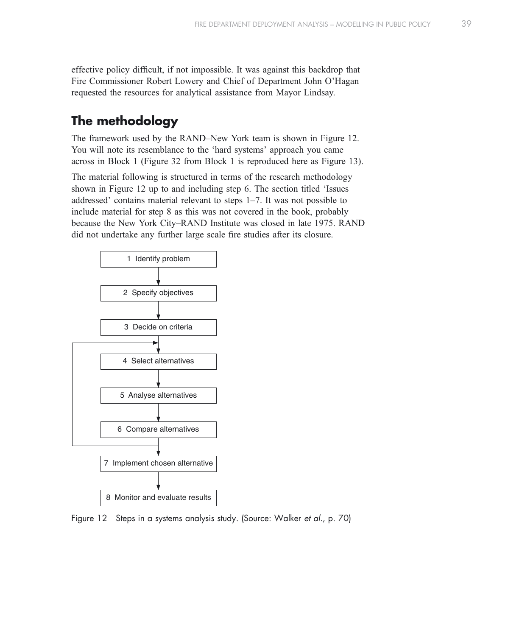effective policy difficult, if not impossible. It was against this backdrop that Fire Commissioner Robert Lowery and Chief of Department John O'Hagan requested the resources for analytical assistance from Mayor Lindsay.

# The methodology

The framework used by the RAND–New York team is shown in Figure 12. You will note its resemblance to the 'hard systems' approach you came across in Block 1 (Figure 32 from Block 1 is reproduced here as Figure 13).

The material following is structured in terms of the research methodology shown in Figure 12 up to and including step 6. The section titled 'Issues addressed' contains material relevant to steps 1–7. It was not possible to include material for step 8 as this was not covered in the book, probably because the New York City–RAND Institute was closed in late 1975. RAND did not undertake any further large scale fire studies after its closure.



Figure 12 Steps in a systems analysis study. (Source: Walker et al., p. 70)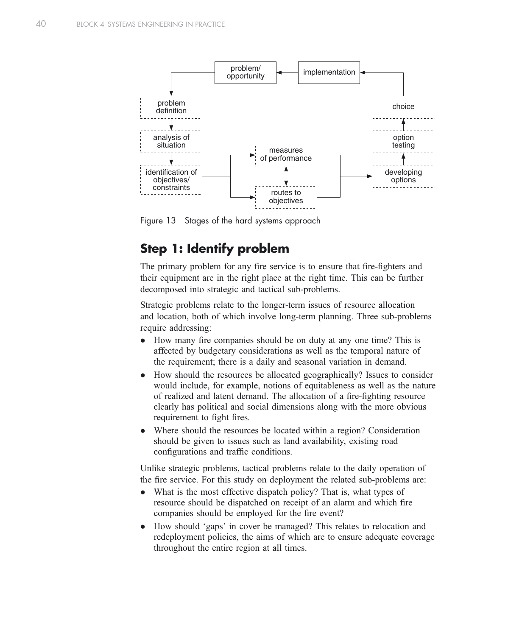

Figure 13 Stages of the hard systems approach

# Step 1: Identify problem

The primary problem for any fire service is to ensure that fire-fighters and their equipment are in the right place at the right time. This can be further decomposed into strategic and tactical sub-problems.

Strategic problems relate to the longer-term issues of resource allocation and location, both of which involve long-term planning. Three sub-problems require addressing:

- How many fire companies should be on duty at any one time? This is affected by budgetary considerations as well as the temporal nature of the requirement; there is a daily and seasonal variation in demand.
- How should the resources be allocated geographically? Issues to consider would include, for example, notions of equitableness as well as the nature of realized and latent demand. The allocation of a fire-fighting resource clearly has political and social dimensions along with the more obvious requirement to fight fires.
- Where should the resources be located within a region? Consideration should be given to issues such as land availability, existing road configurations and traffic conditions.

Unlike strategic problems, tactical problems relate to the daily operation of the fire service. For this study on deployment the related sub-problems are:

- What is the most effective dispatch policy? That is, what types of resource should be dispatched on receipt of an alarm and which fire companies should be employed for the fire event?
- How should 'gaps' in cover be managed? This relates to relocation and redeployment policies, the aims of which are to ensure adequate coverage throughout the entire region at all times.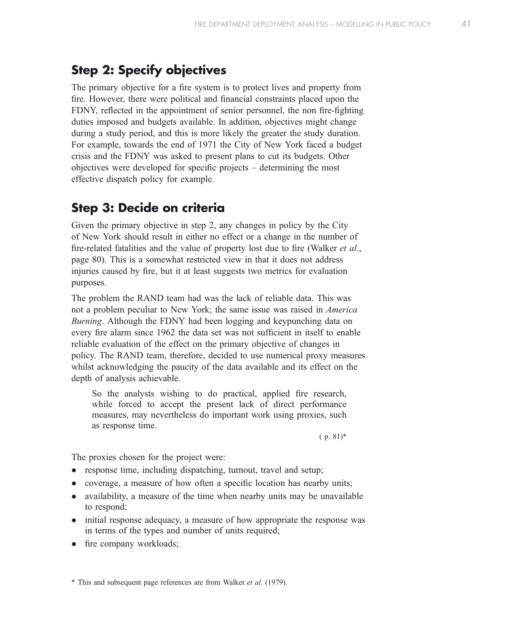## Step 2: Specify objectives

The primary objective for a fire system is to protect lives and property from fire. However, there were political and financial constraints placed upon the FDNY, reflected in the appointment of senior personnel, the non fire-fighting duties imposed and budgets available. In addition, objectives might change during a study period, and this is more likely the greater the study duration. For example, towards the end of 1971 the City of New York faced a budget crisis and the FDNY was asked to present plans to cut its budgets. Other objectives were developed for specific projects – determining the most effective dispatch policy for example.

## Step 3: Decide on criteria

Given the primary objective in step 2, any changes in policy by the City of New York should result in either no effect or a change in the number of fire-related fatalities and the value of property lost due to fire (Walker *et al.*, page 80). This is a somewhat restricted view in that it does not address injuries caused by fire, but it at least suggests two metrics for evaluation purposes.

The problem the RAND team had was the lack of reliable data. This was not a problem peculiar to New York; the same issue was raised in America Burning. Although the FDNY had been logging and keypunching data on every fire alarm since 1962 the data set was not sufficient in itself to enable reliable evaluation of the effect on the primary objective of changes in policy. The RAND team, therefore, decided to use numerical proxy measures whilst acknowledging the paucity of the data available and its effect on the depth of analysis achievable.

So the analysts wishing to do practical, applied fire research, while forced to accept the present lack of direct performance measures, may nevertheless do important work using proxies, such as response time.

 $(p. 81)^*$ 

The proxies chosen for the project were:

- response time, including dispatching, turnout, travel and setup;
- coverage, a measure of how often a specific location has nearby units;
- availability, a measure of the time when nearby units may be unavailable to respond;
- initial response adequacy, a measure of how appropriate the response was in terms of the types and number of units required;
- fire company workloads;

\* This and subsequent page references are from Walker et al. (1979).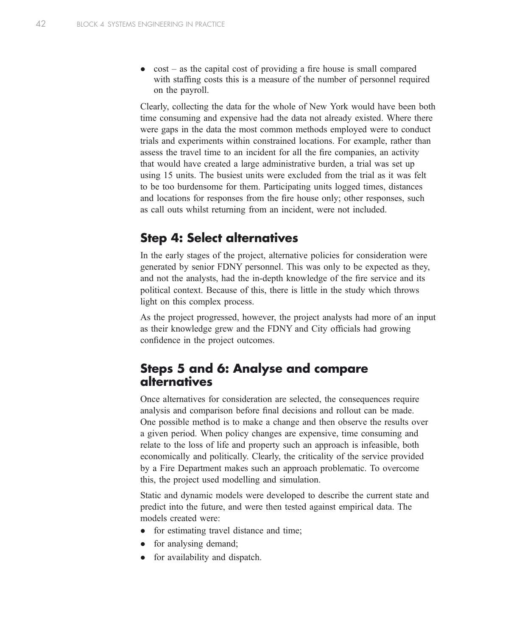$cost - as$  the capital cost of providing a fire house is small compared with staffing costs this is a measure of the number of personnel required on the payroll.

Clearly, collecting the data for the whole of New York would have been both time consuming and expensive had the data not already existed. Where there were gaps in the data the most common methods employed were to conduct trials and experiments within constrained locations. For example, rather than assess the travel time to an incident for all the fire companies, an activity that would have created a large administrative burden, a trial was set up using 15 units. The busiest units were excluded from the trial as it was felt to be too burdensome for them. Participating units logged times, distances and locations for responses from the fire house only; other responses, such as call outs whilst returning from an incident, were not included.

## Step 4: Select alternatives

In the early stages of the project, alternative policies for consideration were generated by senior FDNY personnel. This was only to be expected as they, and not the analysts, had the in-depth knowledge of the fire service and its political context. Because of this, there is little in the study which throws light on this complex process.

As the project progressed, however, the project analysts had more of an input as their knowledge grew and the FDNY and City officials had growing confidence in the project outcomes.

### Steps 5 and 6: Analyse and compare alternatives

Once alternatives for consideration are selected, the consequences require analysis and comparison before final decisions and rollout can be made. One possible method is to make a change and then observe the results over a given period. When policy changes are expensive, time consuming and relate to the loss of life and property such an approach is infeasible, both economically and politically. Clearly, the criticality of the service provided by a Fire Department makes such an approach problematic. To overcome this, the project used modelling and simulation.

Static and dynamic models were developed to describe the current state and predict into the future, and were then tested against empirical data. The models created were:

- for estimating travel distance and time;
- for analysing demand;
- for availability and dispatch.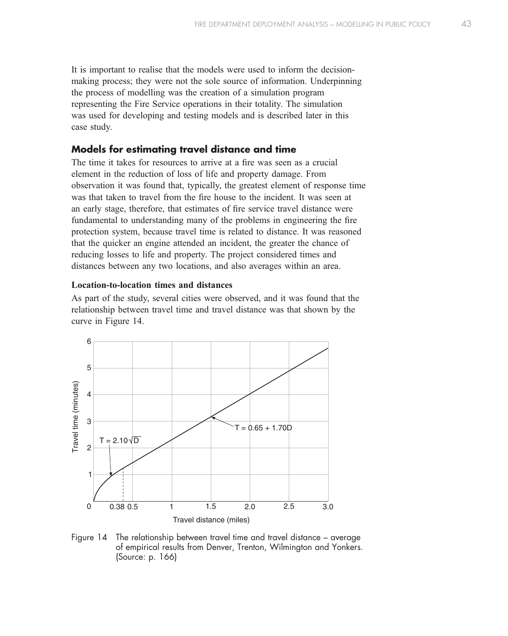It is important to realise that the models were used to inform the decisionmaking process; they were not the sole source of information. Underpinning the process of modelling was the creation of a simulation program representing the Fire Service operations in their totality. The simulation was used for developing and testing models and is described later in this case study.

### Models for estimating travel distance and time

The time it takes for resources to arrive at a fire was seen as a crucial element in the reduction of loss of life and property damage. From observation it was found that, typically, the greatest element of response time was that taken to travel from the fire house to the incident. It was seen at an early stage, therefore, that estimates of fire service travel distance were fundamental to understanding many of the problems in engineering the fire protection system, because travel time is related to distance. It was reasoned that the quicker an engine attended an incident, the greater the chance of reducing losses to life and property. The project considered times and distances between any two locations, and also averages within an area.

#### Location-to-location times and distances

As part of the study, several cities were observed, and it was found that the relationship between travel time and travel distance was that shown by the curve in Figure 14.



Figure 14 The relationship between travel time and travel distance – average of empirical results from Denver, Trenton, Wilmington and Yonkers. (Source: p. 166)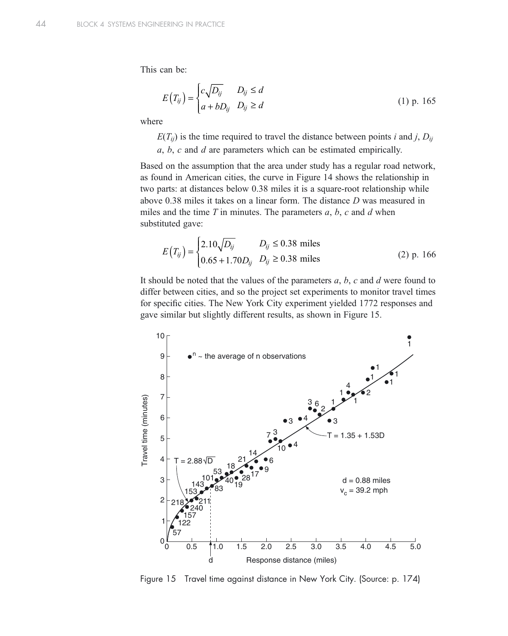This can be:

$$
E(T_{ij}) = \begin{cases} c\sqrt{D_{ij}} & D_{ij} \le d \\ a + bD_{ij} & D_{ij} \ge d \end{cases}
$$
 (1) p. 165

where

 $E(T_{ii})$  is the time required to travel the distance between points i and j,  $D_{ii}$ a, b, c and d are parameters which can be estimated empirically.

Based on the assumption that the area under study has a regular road network, as found in American cities, the curve in Figure 14 shows the relationship in two parts: at distances below 0.38 miles it is a square-root relationship while above 0.38 miles it takes on a linear form. The distance D was measured in miles and the time  $T$  in minutes. The parameters  $a, b, c$  and  $d$  when substituted gave:

$$
E(T_{ij}) = \begin{cases} 2.10\sqrt{D_{ij}} & D_{ij} \le 0.38 \text{ miles} \\ 0.65 + 1.70D_{ij} & D_{ij} \ge 0.38 \text{ miles} \end{cases}
$$
 (2) p. 166

It should be noted that the values of the parameters  $a, b, c$  and  $d$  were found to differ between cities, and so the project set experiments to monitor travel times for specific cities. The New York City experiment yielded 1772 responses and gave similar but slightly different results, as shown in Figure 15.



Figure 15 Travel time against distance in New York City. (Source: p. 174)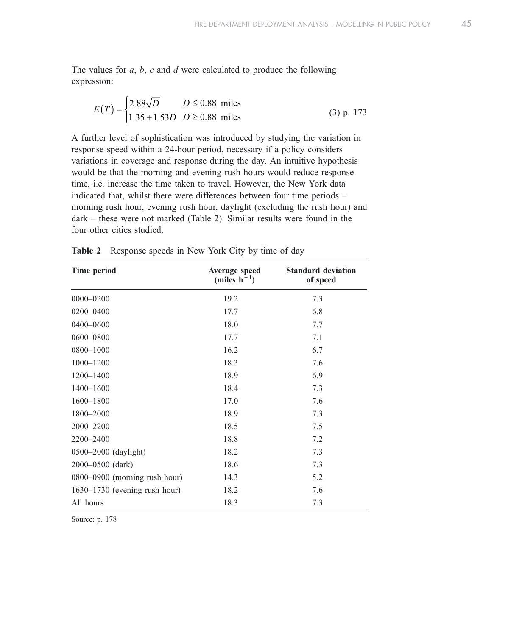The values for  $a, b, c$  and  $d$  were calculated to produce the following expression:

$$
E(T) = \begin{cases} 2.88\sqrt{D} & D \le 0.88 \text{ miles} \\ 1.35 + 1.53D & D \ge 0.88 \text{ miles} \end{cases}
$$
 (3) p. 173

A further level of sophistication was introduced by studying the variation in response speed within a 24-hour period, necessary if a policy considers variations in coverage and response during the day. An intuitive hypothesis would be that the morning and evening rush hours would reduce response time, i.e. increase the time taken to travel. However, the New York data indicated that, whilst there were differences between four time periods – morning rush hour, evening rush hour, daylight (excluding the rush hour) and dark – these were not marked (Table 2). Similar results were found in the four other cities studied.

| Time period                     | Average speed<br>(miles $h^{-1}$ ) | <b>Standard deviation</b><br>of speed |
|---------------------------------|------------------------------------|---------------------------------------|
| $0000 - 0200$                   | 19.2                               | 7.3                                   |
| $0200 - 0400$                   | 17.7                               | 6.8                                   |
| 0400-0600                       | 18.0                               | 7.7                                   |
| 0600-0800                       | 17.7                               | 7.1                                   |
| 0800-1000                       | 16.2                               | 6.7                                   |
| $1000 - 1200$                   | 18.3                               | 7.6                                   |
| $1200 - 1400$                   | 18.9                               | 6.9                                   |
| $1400 - 1600$                   | 18.4                               | 7.3                                   |
| $1600 - 1800$                   | 17.0                               | 7.6                                   |
| 1800-2000                       | 18.9                               | 7.3                                   |
| 2000-2200                       | 18.5                               | 7.5                                   |
| 2200-2400                       | 18.8                               | 7.2                                   |
| 0500-2000 (daylight)            | 18.2                               | 7.3                                   |
| 2000-0500 (dark)                | 18.6                               | 7.3                                   |
| 0800-0900 (morning rush hour)   | 14.3                               | 5.2                                   |
| $1630-1730$ (evening rush hour) | 18.2                               | 7.6                                   |
| All hours                       | 18.3                               | 7.3                                   |

Table 2 Response speeds in New York City by time of day

Source: p. 178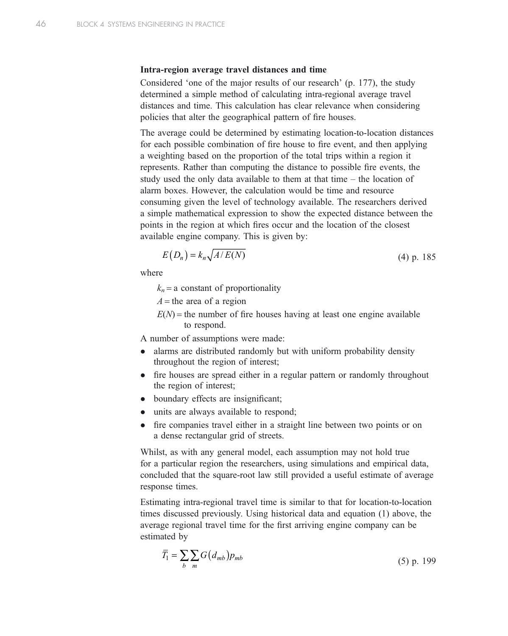#### Intra-region average travel distances and time

Considered 'one of the major results of our research' (p. 177), the study determined a simple method of calculating intra-regional average travel distances and time. This calculation has clear relevance when considering policies that alter the geographical pattern of fire houses.

The average could be determined by estimating location-to-location distances for each possible combination of fire house to fire event, and then applying a weighting based on the proportion of the total trips within a region it represents. Rather than computing the distance to possible fire events, the study used the only data available to them at that time – the location of alarm boxes. However, the calculation would be time and resource consuming given the level of technology available. The researchers derived a simple mathematical expression to show the expected distance between the points in the region at which fires occur and the location of the closest available engine company. This is given by:

$$
E(D_n) = k_n \sqrt{A/E(N)}\tag{4) p. 185}
$$

where

 $k_n$  = a constant of proportionality

 $A =$  the area of a region

 $E(N)$  = the number of fire houses having at least one engine available to respond.

A number of assumptions were made:

- alarms are distributed randomly but with uniform probability density throughout the region of interest;
- fire houses are spread either in a regular pattern or randomly throughout the region of interest;
- boundary effects are insignificant;
- units are always available to respond;
- fire companies travel either in a straight line between two points or on a dense rectangular grid of streets.

Whilst, as with any general model, each assumption may not hold true for a particular region the researchers, using simulations and empirical data, concluded that the square-root law still provided a useful estimate of average response times.

Estimating intra-regional travel time is similar to that for location-to-location times discussed previously. Using historical data and equation (1) above, the average regional travel time for the first arriving engine company can be estimated by

$$
\overline{T_1} = \sum_b \sum_m G(d_{mb}) p_{mb} \tag{5) p. 199}
$$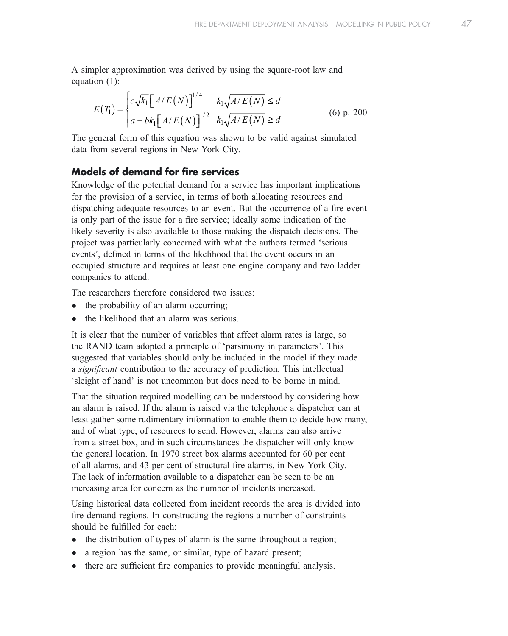A simpler approximation was derived by using the square-root law and equation (1):

$$
E(T_1) = \begin{cases} c\sqrt{k_1} \left[ A/E(N) \right]^{1/4} & k_1 \sqrt{A/E(N)} \le d \\ a + bk_1 \left[ A/E(N) \right]^{1/2} & k_1 \sqrt{A/E(N)} \ge d \end{cases}
$$
 (6) p. 200

The general form of this equation was shown to be valid against simulated data from several regions in New York City.

### Models of demand for fire services

Knowledge of the potential demand for a service has important implications for the provision of a service, in terms of both allocating resources and dispatching adequate resources to an event. But the occurrence of a fire event is only part of the issue for a fire service; ideally some indication of the likely severity is also available to those making the dispatch decisions. The project was particularly concerned with what the authors termed 'serious events', defined in terms of the likelihood that the event occurs in an occupied structure and requires at least one engine company and two ladder companies to attend.

The researchers therefore considered two issues:

- $\bullet$  the probability of an alarm occurring;
- $\bullet$  the likelihood that an alarm was serious.

It is clear that the number of variables that affect alarm rates is large, so the RAND team adopted a principle of 'parsimony in parameters'. This suggested that variables should only be included in the model if they made a significant contribution to the accuracy of prediction. This intellectual 'sleight of hand' is not uncommon but does need to be borne in mind.

That the situation required modelling can be understood by considering how an alarm is raised. If the alarm is raised via the telephone a dispatcher can at least gather some rudimentary information to enable them to decide how many, and of what type, of resources to send. However, alarms can also arrive from a street box, and in such circumstances the dispatcher will only know the general location. In 1970 street box alarms accounted for 60 per cent of all alarms, and 43 per cent of structural fire alarms, in New York City. The lack of information available to a dispatcher can be seen to be an increasing area for concern as the number of incidents increased.

Using historical data collected from incident records the area is divided into fire demand regions. In constructing the regions a number of constraints should be fulfilled for each:

- $\bullet$  the distribution of types of alarm is the same throughout a region;
- a region has the same, or similar, type of hazard present;
- $\bullet$  there are sufficient fire companies to provide meaningful analysis.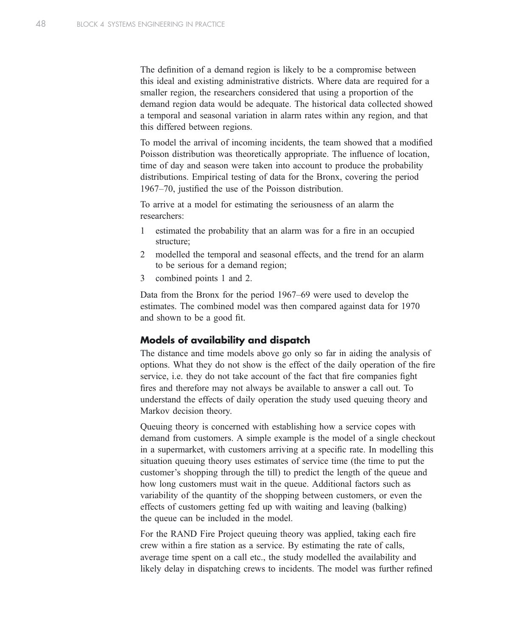The definition of a demand region is likely to be a compromise between this ideal and existing administrative districts. Where data are required for a smaller region, the researchers considered that using a proportion of the demand region data would be adequate. The historical data collected showed a temporal and seasonal variation in alarm rates within any region, and that this differed between regions.

To model the arrival of incoming incidents, the team showed that a modified Poisson distribution was theoretically appropriate. The influence of location, time of day and season were taken into account to produce the probability distributions. Empirical testing of data for the Bronx, covering the period 1967–70, justified the use of the Poisson distribution.

To arrive at a model for estimating the seriousness of an alarm the researchers:

- 1 estimated the probability that an alarm was for a fire in an occupied structure;
- 2 modelled the temporal and seasonal effects, and the trend for an alarm to be serious for a demand region;
- 3 combined points 1 and 2.

Data from the Bronx for the period 1967–69 were used to develop the estimates. The combined model was then compared against data for 1970 and shown to be a good fit.

### Models of availability and dispatch

The distance and time models above go only so far in aiding the analysis of options. What they do not show is the effect of the daily operation of the fire service, i.e. they do not take account of the fact that fire companies fight fires and therefore may not always be available to answer a call out. To understand the effects of daily operation the study used queuing theory and Markov decision theory.

Queuing theory is concerned with establishing how a service copes with demand from customers. A simple example is the model of a single checkout in a supermarket, with customers arriving at a specific rate. In modelling this situation queuing theory uses estimates of service time (the time to put the customer's shopping through the till) to predict the length of the queue and how long customers must wait in the queue. Additional factors such as variability of the quantity of the shopping between customers, or even the effects of customers getting fed up with waiting and leaving (balking) the queue can be included in the model.

For the RAND Fire Project queuing theory was applied, taking each fire crew within a fire station as a service. By estimating the rate of calls, average time spent on a call etc., the study modelled the availability and likely delay in dispatching crews to incidents. The model was further refined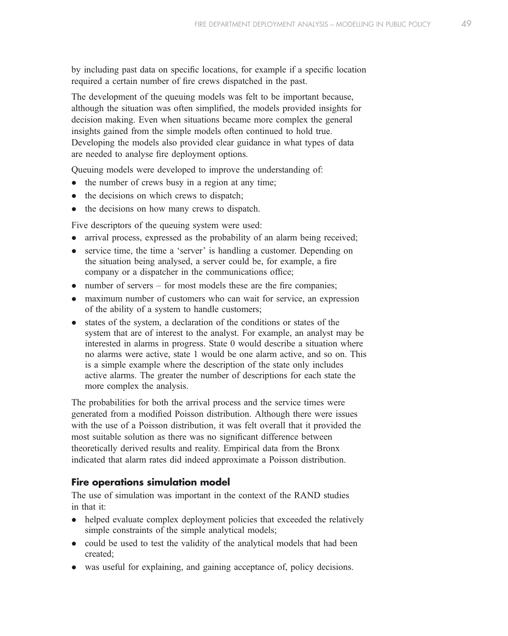by including past data on specific locations, for example if a specific location required a certain number of fire crews dispatched in the past.

The development of the queuing models was felt to be important because, although the situation was often simplified, the models provided insights for decision making. Even when situations became more complex the general insights gained from the simple models often continued to hold true. Developing the models also provided clear guidance in what types of data are needed to analyse fire deployment options.

Queuing models were developed to improve the understanding of:

- $\bullet$  the number of crews busy in a region at any time;
- $\bullet$  the decisions on which crews to dispatch;
- the decisions on how many crews to dispatch.

Five descriptors of the queuing system were used:

- arrival process, expressed as the probability of an alarm being received;
- service time, the time a 'server' is handling a customer. Depending on the situation being analysed, a server could be, for example, a fire company or a dispatcher in the communications office;
- $\bullet$  number of servers for most models these are the fire companies;
- maximum number of customers who can wait for service, an expression of the ability of a system to handle customers;
- states of the system, a declaration of the conditions or states of the system that are of interest to the analyst. For example, an analyst may be interested in alarms in progress. State 0 would describe a situation where no alarms were active, state 1 would be one alarm active, and so on. This is a simple example where the description of the state only includes active alarms. The greater the number of descriptions for each state the more complex the analysis.

The probabilities for both the arrival process and the service times were generated from a modified Poisson distribution. Although there were issues with the use of a Poisson distribution, it was felt overall that it provided the most suitable solution as there was no significant difference between theoretically derived results and reality. Empirical data from the Bronx indicated that alarm rates did indeed approximate a Poisson distribution.

### Fire operations simulation model

The use of simulation was important in the context of the RAND studies in that it:

- helped evaluate complex deployment policies that exceeded the relatively simple constraints of the simple analytical models;
- could be used to test the validity of the analytical models that had been created;
- was useful for explaining, and gaining acceptance of, policy decisions.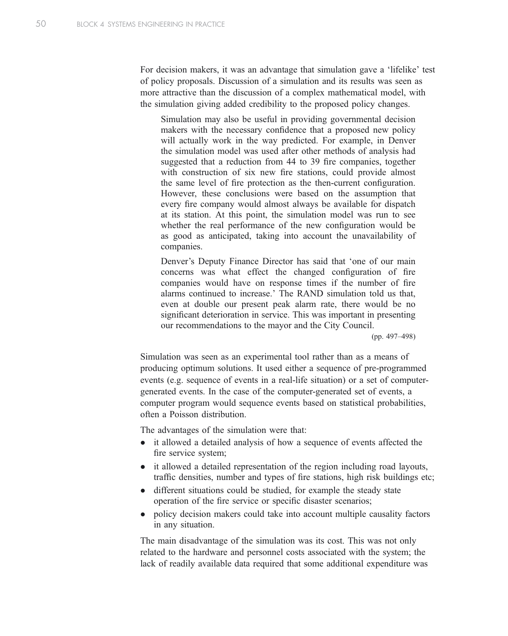For decision makers, it was an advantage that simulation gave a 'lifelike' test of policy proposals. Discussion of a simulation and its results was seen as more attractive than the discussion of a complex mathematical model, with the simulation giving added credibility to the proposed policy changes.

Simulation may also be useful in providing governmental decision makers with the necessary confidence that a proposed new policy will actually work in the way predicted. For example, in Denver the simulation model was used after other methods of analysis had suggested that a reduction from 44 to 39 fire companies, together with construction of six new fire stations, could provide almost the same level of fire protection as the then-current configuration. However, these conclusions were based on the assumption that every fire company would almost always be available for dispatch at its station. At this point, the simulation model was run to see whether the real performance of the new configuration would be as good as anticipated, taking into account the unavailability of companies.

Denver's Deputy Finance Director has said that 'one of our main concerns was what effect the changed configuration of fire companies would have on response times if the number of fire alarms continued to increase.' The RAND simulation told us that, even at double our present peak alarm rate, there would be no significant deterioration in service. This was important in presenting our recommendations to the mayor and the City Council.

(pp. 497–498)

Simulation was seen as an experimental tool rather than as a means of producing optimum solutions. It used either a sequence of pre-programmed events (e.g. sequence of events in a real-life situation) or a set of computergenerated events. In the case of the computer-generated set of events, a computer program would sequence events based on statistical probabilities, often a Poisson distribution.

The advantages of the simulation were that:

- $\bullet$  it allowed a detailed analysis of how a sequence of events affected the fire service system;
- $\bullet$  it allowed a detailed representation of the region including road layouts, traffic densities, number and types of fire stations, high risk buildings etc;
- different situations could be studied, for example the steady state operation of the fire service or specific disaster scenarios;
- policy decision makers could take into account multiple causality factors in any situation.

The main disadvantage of the simulation was its cost. This was not only related to the hardware and personnel costs associated with the system; the lack of readily available data required that some additional expenditure was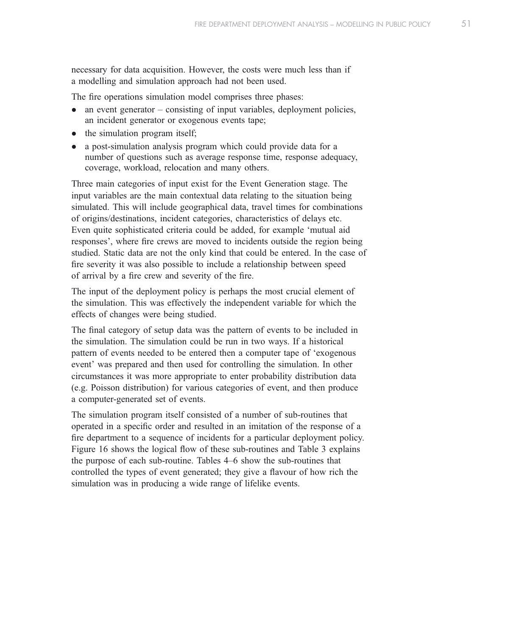necessary for data acquisition. However, the costs were much less than if a modelling and simulation approach had not been used.

The fire operations simulation model comprises three phases:

- $\bullet$  an event generator consisting of input variables, deployment policies, an incident generator or exogenous events tape;
- $\bullet$  the simulation program itself;
- a post-simulation analysis program which could provide data for a number of questions such as average response time, response adequacy, coverage, workload, relocation and many others.

Three main categories of input exist for the Event Generation stage. The input variables are the main contextual data relating to the situation being simulated. This will include geographical data, travel times for combinations of origins/destinations, incident categories, characteristics of delays etc. Even quite sophisticated criteria could be added, for example 'mutual aid responses', where fire crews are moved to incidents outside the region being studied. Static data are not the only kind that could be entered. In the case of fire severity it was also possible to include a relationship between speed of arrival by a fire crew and severity of the fire.

The input of the deployment policy is perhaps the most crucial element of the simulation. This was effectively the independent variable for which the effects of changes were being studied.

The final category of setup data was the pattern of events to be included in the simulation. The simulation could be run in two ways. If a historical pattern of events needed to be entered then a computer tape of 'exogenous event' was prepared and then used for controlling the simulation. In other circumstances it was more appropriate to enter probability distribution data (e.g. Poisson distribution) for various categories of event, and then produce a computer-generated set of events.

The simulation program itself consisted of a number of sub-routines that operated in a specific order and resulted in an imitation of the response of a fire department to a sequence of incidents for a particular deployment policy. Figure 16 shows the logical flow of these sub-routines and Table 3 explains the purpose of each sub-routine. Tables 4–6 show the sub-routines that controlled the types of event generated; they give a flavour of how rich the simulation was in producing a wide range of lifelike events.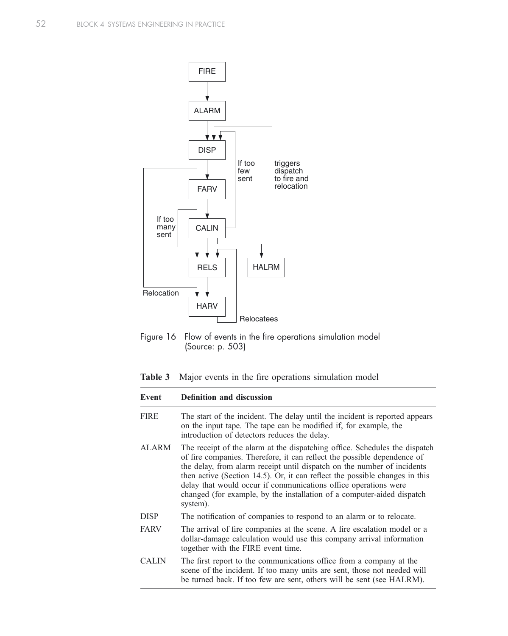

Figure 16 Flow of events in the fire operations simulation model (Source: p. 503)

Table 3 Major events in the fire operations simulation model

| Event        | <b>Definition and discussion</b>                                                                                                                                                                                                                                                                                                                                                                                                                                         |
|--------------|--------------------------------------------------------------------------------------------------------------------------------------------------------------------------------------------------------------------------------------------------------------------------------------------------------------------------------------------------------------------------------------------------------------------------------------------------------------------------|
| <b>FIRE</b>  | The start of the incident. The delay until the incident is reported appears<br>on the input tape. The tape can be modified if, for example, the<br>introduction of detectors reduces the delay.                                                                                                                                                                                                                                                                          |
| ALARM        | The receipt of the alarm at the dispatching office. Schedules the dispatch<br>of fire companies. Therefore, it can reflect the possible dependence of<br>the delay, from alarm receipt until dispatch on the number of incidents<br>then active (Section 14.5). Or, it can reflect the possible changes in this<br>delay that would occur if communications office operations were<br>changed (for example, by the installation of a computer-aided dispatch<br>system). |
| <b>DISP</b>  | The notification of companies to respond to an alarm or to relocate.                                                                                                                                                                                                                                                                                                                                                                                                     |
| <b>FARV</b>  | The arrival of fire companies at the scene. A fire escalation model or a<br>dollar-damage calculation would use this company arrival information<br>together with the FIRE event time.                                                                                                                                                                                                                                                                                   |
| <b>CALIN</b> | The first report to the communications office from a company at the<br>scene of the incident. If too many units are sent, those not needed will<br>be turned back. If too few are sent, others will be sent (see HALRM).                                                                                                                                                                                                                                                 |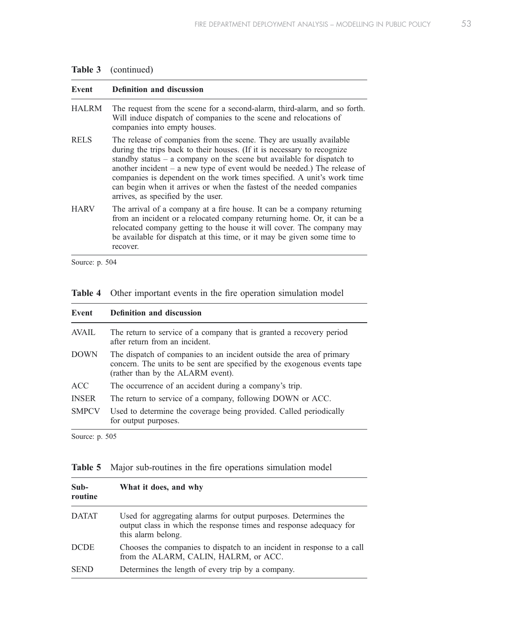| Table 3 | (continued) |
|---------|-------------|
|---------|-------------|

| Event        | <b>Definition and discussion</b>                                                                                                                                                                                                                                                                                                                                                                                                                                                                |
|--------------|-------------------------------------------------------------------------------------------------------------------------------------------------------------------------------------------------------------------------------------------------------------------------------------------------------------------------------------------------------------------------------------------------------------------------------------------------------------------------------------------------|
| <b>HALRM</b> | The request from the scene for a second-alarm, third-alarm, and so forth.<br>Will induce dispatch of companies to the scene and relocations of<br>companies into empty houses.                                                                                                                                                                                                                                                                                                                  |
| <b>RELS</b>  | The release of companies from the scene. They are usually available<br>during the trips back to their houses. (If it is necessary to recognize<br>standby status $-$ a company on the scene but available for dispatch to<br>another incident $-$ a new type of event would be needed.) The release of<br>companies is dependent on the work times specified. A unit's work time<br>can begin when it arrives or when the fastest of the needed companies<br>arrives, as specified by the user. |
| <b>HARV</b>  | The arrival of a company at a fire house. It can be a company returning<br>from an incident or a relocated company returning home. Or, it can be a<br>relocated company getting to the house it will cover. The company may<br>be available for dispatch at this time, or it may be given some time to<br>recover.                                                                                                                                                                              |

Source: p. 504

|  |  |  |  |  |  |  |  | <b>Table 4</b> Other important events in the fire operation simulation model |  |
|--|--|--|--|--|--|--|--|------------------------------------------------------------------------------|--|
|--|--|--|--|--|--|--|--|------------------------------------------------------------------------------|--|

| <b>Definition and discussion</b>                                                                                                                                                      |  |  |  |
|---------------------------------------------------------------------------------------------------------------------------------------------------------------------------------------|--|--|--|
| The return to service of a company that is granted a recovery period<br>after return from an incident.                                                                                |  |  |  |
| The dispatch of companies to an incident outside the area of primary<br>concern. The units to be sent are specified by the exogenous events tape<br>(rather than by the ALARM event). |  |  |  |
| The occurrence of an accident during a company's trip.                                                                                                                                |  |  |  |
| The return to service of a company, following DOWN or ACC.                                                                                                                            |  |  |  |
| Used to determine the coverage being provided. Called periodically<br>for output purposes.                                                                                            |  |  |  |
|                                                                                                                                                                                       |  |  |  |

Source: p. 505

| $Sub-$<br>routine | What it does, and why                                                                                                                                       |
|-------------------|-------------------------------------------------------------------------------------------------------------------------------------------------------------|
| <b>DATAT</b>      | Used for aggregating alarms for output purposes. Determines the<br>output class in which the response times and response adequacy for<br>this alarm belong. |
| <b>DCDE</b>       | Chooses the companies to dispatch to an incident in response to a call<br>from the ALARM, CALIN, HALRM, or ACC.                                             |
| <b>SEND</b>       | Determines the length of every trip by a company.                                                                                                           |

### Table 5 Major sub-routines in the fire operations simulation model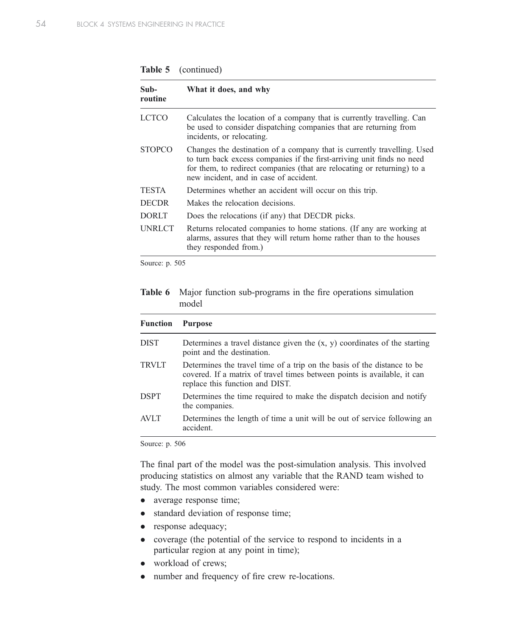| Table 5 | (continued) |
|---------|-------------|
|---------|-------------|

| Sub-<br>routine | What it does, and why                                                                                                                                                                                                                                                  |
|-----------------|------------------------------------------------------------------------------------------------------------------------------------------------------------------------------------------------------------------------------------------------------------------------|
| <b>LCTCO</b>    | Calculates the location of a company that is currently travelling. Can<br>be used to consider dispatching companies that are returning from<br>incidents, or relocating.                                                                                               |
| <b>STOPCO</b>   | Changes the destination of a company that is currently travelling. Used<br>to turn back excess companies if the first-arriving unit finds no need<br>for them, to redirect companies (that are relocating or returning) to a<br>new incident, and in case of accident. |
| <b>TESTA</b>    | Determines whether an accident will occur on this trip.                                                                                                                                                                                                                |
| <b>DECDR</b>    | Makes the relocation decisions.                                                                                                                                                                                                                                        |
| <b>DORLT</b>    | Does the relocations (if any) that DECDR picks.                                                                                                                                                                                                                        |
| <b>UNRLCT</b>   | Returns relocated companies to home stations. (If any are working at<br>alarms, assures that they will return home rather than to the houses<br>they responded from.)                                                                                                  |

Source: p. 505

Table 6 Major function sub-programs in the fire operations simulation model

| <b>Function</b> | <b>Purpose</b>                                                                                                                                                                         |
|-----------------|----------------------------------------------------------------------------------------------------------------------------------------------------------------------------------------|
| <b>DIST</b>     | Determines a travel distance given the $(x, y)$ coordinates of the starting<br>point and the destination.                                                                              |
| <b>TRVLT</b>    | Determines the travel time of a trip on the basis of the distance to be<br>covered. If a matrix of travel times between points is available, it can<br>replace this function and DIST. |
| <b>DSPT</b>     | Determines the time required to make the dispatch decision and notify<br>the companies.                                                                                                |
| AVI T           | Determines the length of time a unit will be out of service following an<br>accident.                                                                                                  |

Source: p. 506

The final part of the model was the post-simulation analysis. This involved producing statistics on almost any variable that the RAND team wished to study. The most common variables considered were:

- average response time;
- standard deviation of response time;
- response adequacy;
- coverage (the potential of the service to respond to incidents in a particular region at any point in time);
- workload of crews;
- number and frequency of fire crew re-locations.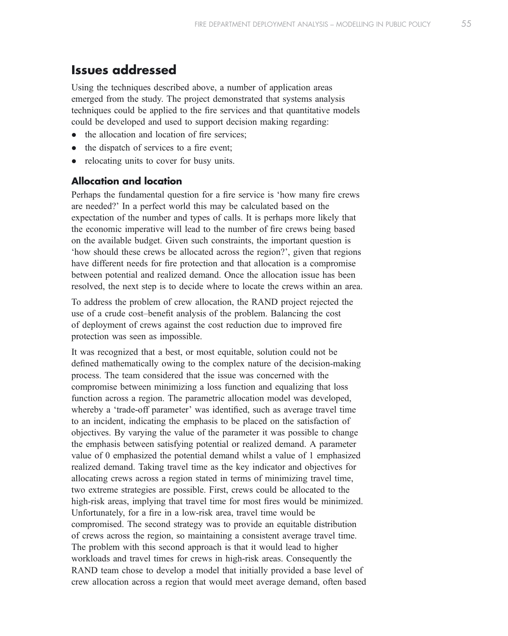### Issues addressed

Using the techniques described above, a number of application areas emerged from the study. The project demonstrated that systems analysis techniques could be applied to the fire services and that quantitative models could be developed and used to support decision making regarding:

- $\bullet$  the allocation and location of fire services;
- the dispatch of services to a fire event;
- relocating units to cover for busy units.

### Allocation and location

Perhaps the fundamental question for a fire service is 'how many fire crews are needed?' In a perfect world this may be calculated based on the expectation of the number and types of calls. It is perhaps more likely that the economic imperative will lead to the number of fire crews being based on the available budget. Given such constraints, the important question is 'how should these crews be allocated across the region?', given that regions have different needs for fire protection and that allocation is a compromise between potential and realized demand. Once the allocation issue has been resolved, the next step is to decide where to locate the crews within an area.

To address the problem of crew allocation, the RAND project rejected the use of a crude cost–benefit analysis of the problem. Balancing the cost of deployment of crews against the cost reduction due to improved fire protection was seen as impossible.

It was recognized that a best, or most equitable, solution could not be defined mathematically owing to the complex nature of the decision-making process. The team considered that the issue was concerned with the compromise between minimizing a loss function and equalizing that loss function across a region. The parametric allocation model was developed, whereby a 'trade-off parameter' was identified, such as average travel time to an incident, indicating the emphasis to be placed on the satisfaction of objectives. By varying the value of the parameter it was possible to change the emphasis between satisfying potential or realized demand. A parameter value of 0 emphasized the potential demand whilst a value of 1 emphasized realized demand. Taking travel time as the key indicator and objectives for allocating crews across a region stated in terms of minimizing travel time, two extreme strategies are possible. First, crews could be allocated to the high-risk areas, implying that travel time for most fires would be minimized. Unfortunately, for a fire in a low-risk area, travel time would be compromised. The second strategy was to provide an equitable distribution of crews across the region, so maintaining a consistent average travel time. The problem with this second approach is that it would lead to higher workloads and travel times for crews in high-risk areas. Consequently the RAND team chose to develop a model that initially provided a base level of crew allocation across a region that would meet average demand, often based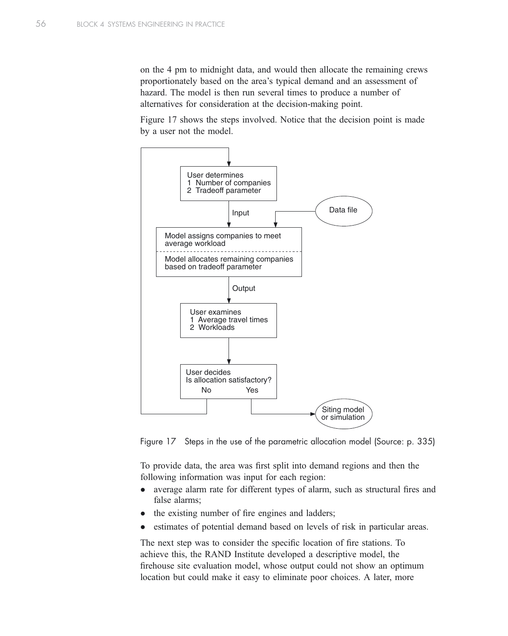on the 4 pm to midnight data, and would then allocate the remaining crews proportionately based on the area's typical demand and an assessment of hazard. The model is then run several times to produce a number of alternatives for consideration at the decision-making point.

Figure 17 shows the steps involved. Notice that the decision point is made by a user not the model.



Figure 17 Steps in the use of the parametric allocation model (Source: p. 335)

To provide data, the area was first split into demand regions and then the following information was input for each region:

- average alarm rate for different types of alarm, such as structural fires and false alarms;
- the existing number of fire engines and ladders;
- estimates of potential demand based on levels of risk in particular areas.

The next step was to consider the specific location of fire stations. To achieve this, the RAND Institute developed a descriptive model, the firehouse site evaluation model, whose output could not show an optimum location but could make it easy to eliminate poor choices. A later, more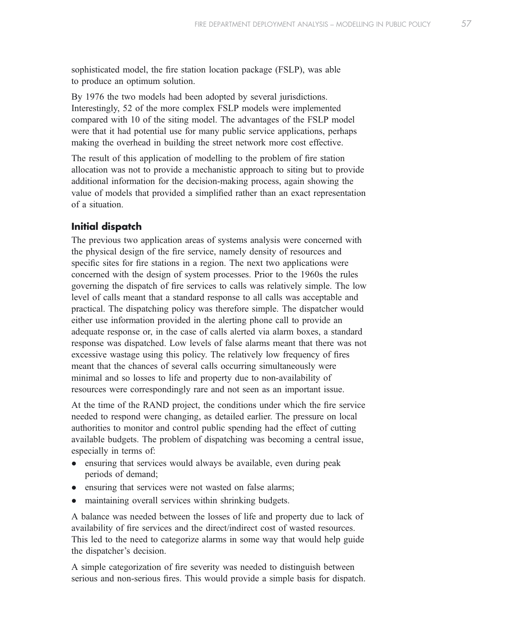sophisticated model, the fire station location package (FSLP), was able to produce an optimum solution.

By 1976 the two models had been adopted by several jurisdictions. Interestingly, 52 of the more complex FSLP models were implemented compared with 10 of the siting model. The advantages of the FSLP model were that it had potential use for many public service applications, perhaps making the overhead in building the street network more cost effective.

The result of this application of modelling to the problem of fire station allocation was not to provide a mechanistic approach to siting but to provide additional information for the decision-making process, again showing the value of models that provided a simplified rather than an exact representation of a situation.

#### Initial dispatch

The previous two application areas of systems analysis were concerned with the physical design of the fire service, namely density of resources and specific sites for fire stations in a region. The next two applications were concerned with the design of system processes. Prior to the 1960s the rules governing the dispatch of fire services to calls was relatively simple. The low level of calls meant that a standard response to all calls was acceptable and practical. The dispatching policy was therefore simple. The dispatcher would either use information provided in the alerting phone call to provide an adequate response or, in the case of calls alerted via alarm boxes, a standard response was dispatched. Low levels of false alarms meant that there was not excessive wastage using this policy. The relatively low frequency of fires meant that the chances of several calls occurring simultaneously were minimal and so losses to life and property due to non-availability of resources were correspondingly rare and not seen as an important issue.

At the time of the RAND project, the conditions under which the fire service needed to respond were changing, as detailed earlier. The pressure on local authorities to monitor and control public spending had the effect of cutting available budgets. The problem of dispatching was becoming a central issue, especially in terms of:

- ensuring that services would always be available, even during peak periods of demand;
- ensuring that services were not wasted on false alarms;
- maintaining overall services within shrinking budgets.

A balance was needed between the losses of life and property due to lack of availability of fire services and the direct/indirect cost of wasted resources. This led to the need to categorize alarms in some way that would help guide the dispatcher's decision.

A simple categorization of fire severity was needed to distinguish between serious and non-serious fires. This would provide a simple basis for dispatch.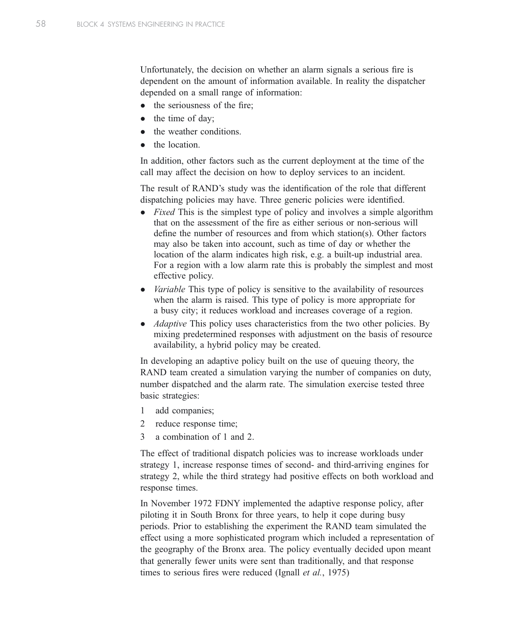Unfortunately, the decision on whether an alarm signals a serious fire is dependent on the amount of information available. In reality the dispatcher depended on a small range of information:

- $\bullet$  the seriousness of the fire:
- $\bullet$  the time of day;
- the weather conditions.
- the location.

In addition, other factors such as the current deployment at the time of the call may affect the decision on how to deploy services to an incident.

The result of RAND's study was the identification of the role that different dispatching policies may have. Three generic policies were identified.

- $\bullet$  Fixed This is the simplest type of policy and involves a simple algorithm that on the assessment of the fire as either serious or non-serious will define the number of resources and from which station(s). Other factors may also be taken into account, such as time of day or whether the location of the alarm indicates high risk, e.g. a built-up industrial area. For a region with a low alarm rate this is probably the simplest and most effective policy.
- $\bullet$  *Variable* This type of policy is sensitive to the availability of resources when the alarm is raised. This type of policy is more appropriate for a busy city; it reduces workload and increases coverage of a region.
- $\bullet$  *Adaptive* This policy uses characteristics from the two other policies. By mixing predetermined responses with adjustment on the basis of resource availability, a hybrid policy may be created.

In developing an adaptive policy built on the use of queuing theory, the RAND team created a simulation varying the number of companies on duty, number dispatched and the alarm rate. The simulation exercise tested three basic strategies:

- 1 add companies;
- 2 reduce response time;
- 3 a combination of 1 and 2.

The effect of traditional dispatch policies was to increase workloads under strategy 1, increase response times of second- and third-arriving engines for strategy 2, while the third strategy had positive effects on both workload and response times.

In November 1972 FDNY implemented the adaptive response policy, after piloting it in South Bronx for three years, to help it cope during busy periods. Prior to establishing the experiment the RAND team simulated the effect using a more sophisticated program which included a representation of the geography of the Bronx area. The policy eventually decided upon meant that generally fewer units were sent than traditionally, and that response times to serious fires were reduced (Ignall *et al.*, 1975)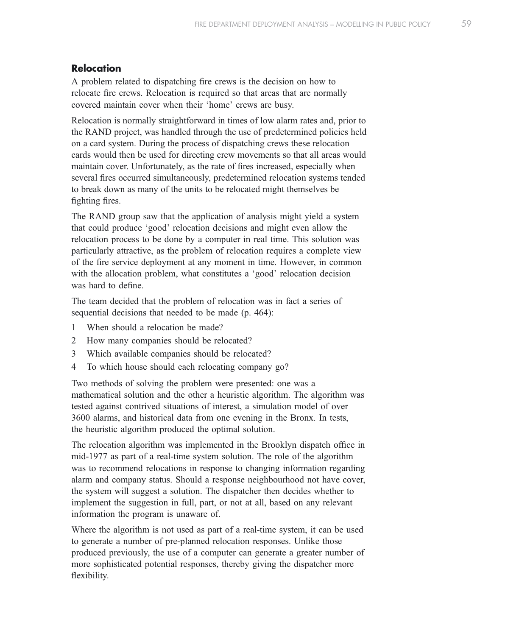### Relocation

A problem related to dispatching fire crews is the decision on how to relocate fire crews. Relocation is required so that areas that are normally covered maintain cover when their 'home' crews are busy.

Relocation is normally straightforward in times of low alarm rates and, prior to the RAND project, was handled through the use of predetermined policies held on a card system. During the process of dispatching crews these relocation cards would then be used for directing crew movements so that all areas would maintain cover. Unfortunately, as the rate of fires increased, especially when several fires occurred simultaneously, predetermined relocation systems tended to break down as many of the units to be relocated might themselves be fighting fires.

The RAND group saw that the application of analysis might yield a system that could produce 'good' relocation decisions and might even allow the relocation process to be done by a computer in real time. This solution was particularly attractive, as the problem of relocation requires a complete view of the fire service deployment at any moment in time. However, in common with the allocation problem, what constitutes a 'good' relocation decision was hard to define.

The team decided that the problem of relocation was in fact a series of sequential decisions that needed to be made (p. 464):

- 1 When should a relocation be made?
- 2 How many companies should be relocated?
- 3 Which available companies should be relocated?
- 4 To which house should each relocating company go?

Two methods of solving the problem were presented: one was a mathematical solution and the other a heuristic algorithm. The algorithm was tested against contrived situations of interest, a simulation model of over 3600 alarms, and historical data from one evening in the Bronx. In tests, the heuristic algorithm produced the optimal solution.

The relocation algorithm was implemented in the Brooklyn dispatch office in mid-1977 as part of a real-time system solution. The role of the algorithm was to recommend relocations in response to changing information regarding alarm and company status. Should a response neighbourhood not have cover, the system will suggest a solution. The dispatcher then decides whether to implement the suggestion in full, part, or not at all, based on any relevant information the program is unaware of.

Where the algorithm is not used as part of a real-time system, it can be used to generate a number of pre-planned relocation responses. Unlike those produced previously, the use of a computer can generate a greater number of more sophisticated potential responses, thereby giving the dispatcher more flexibility.